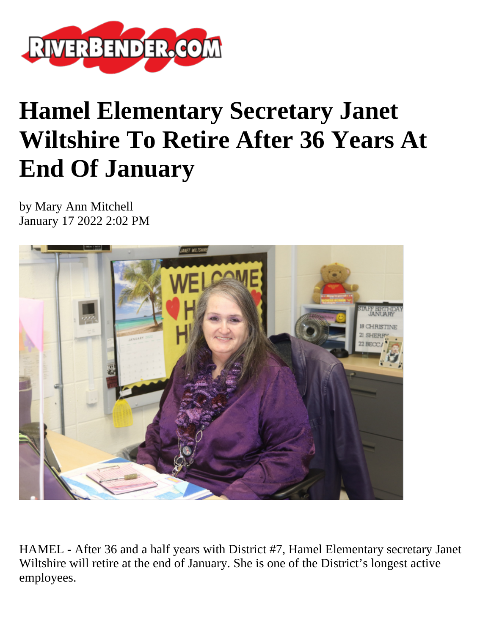

## **Hamel Elementary Secretary Janet Wiltshire To Retire After 36 Years At End Of January**

by Mary Ann Mitchell January 17 2022 2:02 PM



HAMEL - After 36 and a half years with District #7, Hamel Elementary secretary Janet Wiltshire will retire at the end of January. She is one of the District's longest active employees.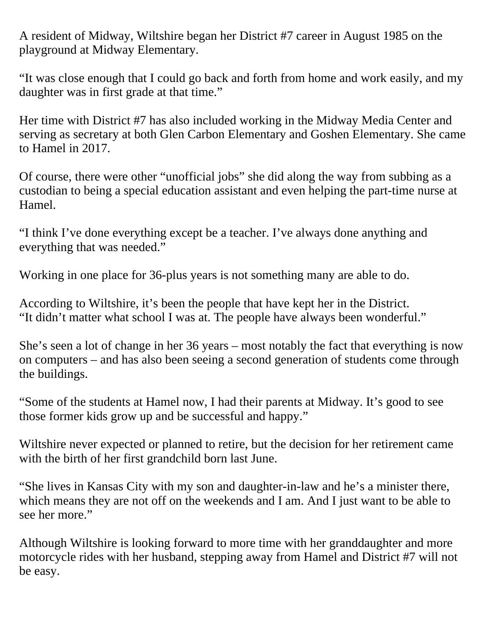A resident of Midway, Wiltshire began her District #7 career in August 1985 on the playground at Midway Elementary.

"It was close enough that I could go back and forth from home and work easily, and my daughter was in first grade at that time."

Her time with District #7 has also included working in the Midway Media Center and serving as secretary at both Glen Carbon Elementary and Goshen Elementary. She came to Hamel in 2017.

Of course, there were other "unofficial jobs" she did along the way from subbing as a custodian to being a special education assistant and even helping the part-time nurse at Hamel.

"I think I've done everything except be a teacher. I've always done anything and everything that was needed."

Working in one place for 36-plus years is not something many are able to do.

According to Wiltshire, it's been the people that have kept her in the District. "It didn't matter what school I was at. The people have always been wonderful."

She's seen a lot of change in her 36 years – most notably the fact that everything is now on computers – and has also been seeing a second generation of students come through the buildings.

"Some of the students at Hamel now, I had their parents at Midway. It's good to see those former kids grow up and be successful and happy."

Wiltshire never expected or planned to retire, but the decision for her retirement came with the birth of her first grandchild born last June.

"She lives in Kansas City with my son and daughter-in-law and he's a minister there, which means they are not off on the weekends and I am. And I just want to be able to see her more."

Although Wiltshire is looking forward to more time with her granddaughter and more motorcycle rides with her husband, stepping away from Hamel and District #7 will not be easy.